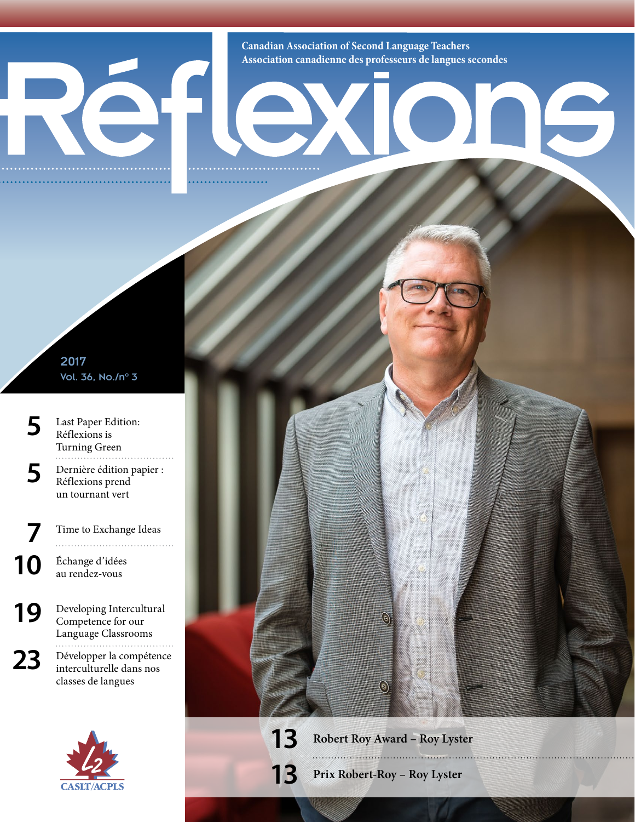**Canadian Association of Second Language Teachers Association canadienne des professeurs de langues secondes**

16

2017 Vol. 36, No./n° 3

- **5** Last Paper Edition: Réflexions is Turning Green
- **5** Dernière édition papier : Réflexions prend un tournant vert
- **[7](#page--1-0)** [Time to Exchange Ideas](#page--1-0) **10** Échange d'idées
	- au rendez-vous

**[19](#page--1-1)** Developing Intercultural [Competence for our](#page--1-1)  [Language Classrooms](#page--1-1) 23 Développer la compétence interculturelle dans nos classes de langues



**13 Robert Roy Award – Roy Lyster**

 $\widehat{\Theta}$ 

 $\textcircled{\scriptsize s}$ 

**13 Prix Robert-Roy – Roy Lyster**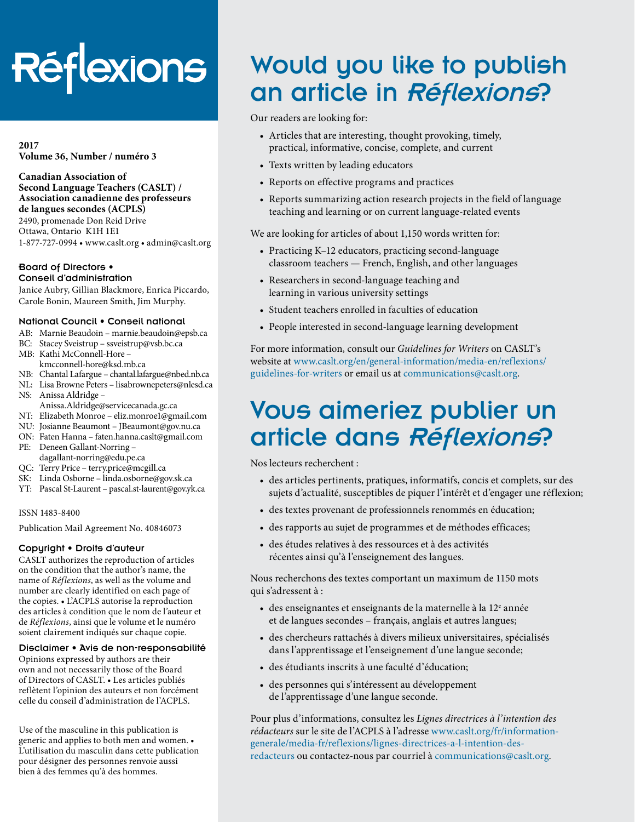# **Réflexions**

**2017 Volume 36, Number / numéro 3**

**Canadian Association of Second Language Teachers (CASLT) / Association canadienne des professeurs de langues secondes (ACPLS)**

2490, promenade Don Reid Drive Ottawa, Ontario K1H 1E1 1-877-727-0994 • [www.caslt.org](http://www.caslt.org) • [admin@caslt.org](mailto:admin%40caslt.org?subject=)

#### Board of Directors • Conseil d'administration

Janice Aubry, Gillian Blackmore, Enrica Piccardo, Carole Bonin, Maureen Smith, Jim Murphy.

#### National Council • Conseil national

- AB: Marnie Beaudoin [marnie.beaudoin@epsb.ca](mailto:marnie.beaudoin%40epsb.ca?subject=)
- BC: Stacey Sveistrup – [ssveistrup@vsb.bc.ca](mailto:ssveistrup%40vsb.bc.ca?subject=)
- MB: Kathi McConnell-Hore kmcconnell-hore@ksd.mb.ca
- NB: Chantal Lafargue – [chantal.lafargue@nbed.nb.ca](mailto:chantal.lafargue%40nbed.nb.ca?subject=)
- NL: Lisa Browne Peters [lisabrownepeters@](mailto:lisabrownepeters%40cdli.ca?subject=)nlesd.ca
- NS: Anissa Aldridge Anissa.Aldridge@servicecanada.gc.ca
- NT: Elizabeth Monroe eliz.monroe1@gmail.com
- NU: Josianne Beaumont – [JBeaumont@gov.nu.ca](mailto:JBeaumont%40gov.nu.ca?subject=)
- ON: Faten Hanna faten.hanna.caslt@gmail.com
- PE: Deneen Gallant-Norring [dagallant-norring@edu.pe.ca](mailto:dagallant-norring%40edu.pe.ca?subject=)
- QC: Terry Price terry.price@mcgill.ca
- SK: Linda Osborne – [linda.osborne@gov.sk.ca](mailto:linda.osborne%40gov.sk.ca?subject=)
- YT: Pascal St-Laurent – [pascal.st-laurent@gov.yk.ca](mailto:pascal.st-laurent%40gov.yk.ca?subject=)

ISSN 1483-8400

Publication Mail Agreement No. 40846073

#### Copyright • Droits d'auteur

CASLT authorizes the reproduction of articles on the condition that the author's name, the name of *Réflexions*, as well as the volume and number are clearly identified on each page of the copies. • L'ACPLS autorise la reproduction des articles à condition que le nom de l'auteur et de *Réflexions*, ainsi que le volume et le numéro soient clairement indiqués sur chaque copie.

#### Disclaimer • Avis de non-responsabilité

Opinions expressed by authors are their own and not necessarily those of the Board of Directors of CASLT. • Les articles publiés reflètent l'opinion des auteurs et non forcément celle du conseil d'administration de l'ACPLS.

Use of the masculine in this publication is generic and applies to both men and women. • L'utilisation du masculin dans cette publication pour désigner des personnes renvoie aussi bien à des femmes qu'à des hommes.

### Would you like to publish an article in Réflexions?

Our readers are looking for:

- Articles that are interesting, thought provoking, timely, practical, informative, concise, complete, and current
- Texts written by leading educators
- Reports on effective programs and practices
- Reports summarizing action research projects in the field of language teaching and learning or on current language-related events

We are looking for articles of about 1,150 words written for:

- Practicing K–12 educators, practicing second-language classroom teachers — French, English, and other languages
- Researchers in second-language teaching and learning in various university settings
- Student teachers enrolled in faculties of education
- People interested in second-language learning development

For more information, consult our *Guidelines for Writers* on CASLT's website at [www.caslt.org/en/general-information/media-en/reflexions/](https://www.caslt.org/en/general-information/media-en/reflexions/guidelines-for-writers) [guidelines-for-writers](https://www.caslt.org/en/general-information/media-en/reflexions/guidelines-for-writers) or email us at communications[@caslt.org](mailto:communications%40caslt.org?subject=).

### Vous aimeriez publier un article dans Réflexions?

Nos lecteurs recherchent :

- des articles pertinents, pratiques, informatifs, concis et complets, sur des sujets d'actualité, susceptibles de piquer l'intérêt et d'engager une réflexion;
- des textes provenant de professionnels renommés en éducation;
- des rapports au sujet de programmes et de méthodes efficaces;
- des études relatives à des ressources et à des activités récentes ainsi qu'à l'enseignement des langues.

Nous recherchons des textes comportant un maximum de 1150 mots qui s'adressent à :

- des enseignantes et enseignants de la maternelle à la  $12^e$  année et de langues secondes – français, anglais et autres langues;
- des chercheurs rattachés à divers milieux universitaires, spécialisés dans l'apprentissage et l'enseignement d'une langue seconde;
- des étudiants inscrits à une faculté d'éducation;
- des personnes qui s'intéressent au développement de l'apprentissage d'une langue seconde.

Pour plus d'informations, consultez les *Lignes directrices à l'intention des rédacteurs* sur le site de l'ACPLS à l'adresse [www.caslt.org/fr/information](https://www.caslt.org/fr/information-generale/media-fr/reflexions/lignes-directrices-a-l-intention-des-redacteurs)[generale/media-fr/reflexions/lignes-directrices-a-l-intention-des](https://www.caslt.org/fr/information-generale/media-fr/reflexions/lignes-directrices-a-l-intention-des-redacteurs)[redacteurs](https://www.caslt.org/fr/information-generale/media-fr/reflexions/lignes-directrices-a-l-intention-des-redacteurs) ou contactez-nous par courriel à communications[@caslt.org](mailto:communications%40caslt.org?subject=).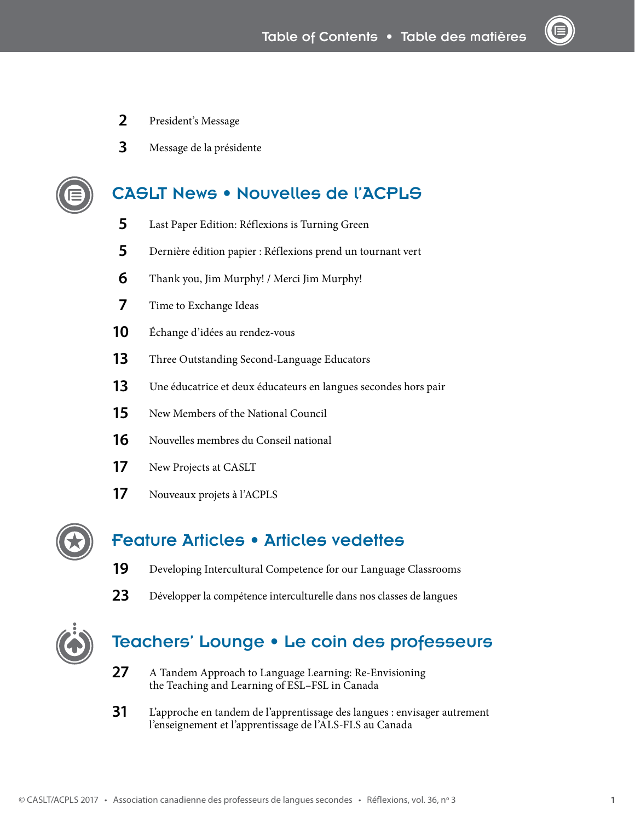- President's Message
- Message de la présidente

#### CASLT News • Nouvelles de l'ACPLS

- Last Paper Edition: Réflexions is Turning Green
- Dernière édition papier : Réflexions prend un tournant vert
- [Thank you, Jim Murphy! / Merci Jim Murphy!](#page--1-0)
- [Time to Exchange Ideas](#page--1-0)
- Échange d'idées au rendez-vous
- [Three Outstanding Second-Language Educators](#page--1-0)
- Une éducatrice et deux éducateurs en langues secondes hors pair
- [New Members of the National Council](#page--1-0)
- [Nouvelles membres du Conseil national](#page--1-0)
- [New Projects at CASLT](#page--1-0)
- Nouveaux projets à l'ACPLS



### Feature Articles • Articles vedettes

- [Developing Intercultural Competence for our Language Classrooms](#page--1-1)
- 23 Développer la compétence interculturelle dans nos classes de langues



#### Teachers' Lounge • Le coin des professeurs

- [A Tandem Approach to Language Learning: Re-Envisioning](#page--1-2)  [the Teaching and Learning of ESL–FSL in Canada](#page--1-2)
- L'approche en tandem de l'apprentissage des langues : envisager autrement l'enseignement et l'apprentissage de l'ALS-FLS au Canada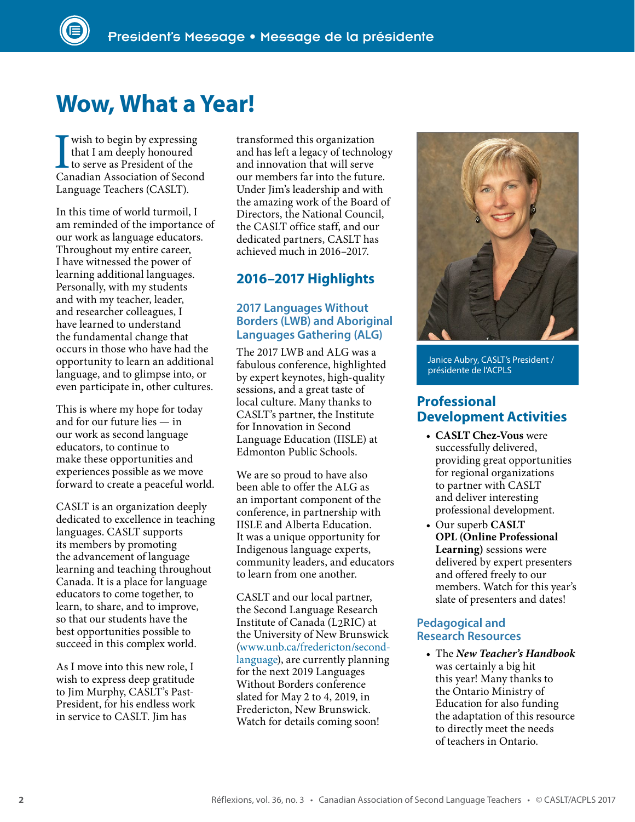### **Wow, What a Year!**

I wish to begin by expressing Canadian Association of Second that I am deeply honoured to serve as President of the Language Teachers (CASLT).

In this time of world turmoil, I am reminded of the importance of our work as language educators. Throughout my entire career, I have witnessed the power of learning additional languages. Personally, with my students and with my teacher, leader, and researcher colleagues, I have learned to understand the fundamental change that occurs in those who have had the opportunity to learn an additional language, and to glimpse into, or even participate in, other cultures.

This is where my hope for today and for our future lies — in our work as second language educators, to continue to make these opportunities and experiences possible as we move forward to create a peaceful world.

CASLT is an organization deeply dedicated to excellence in teaching languages. CASLT supports its members by promoting the advancement of language learning and teaching throughout Canada. It is a place for language educators to come together, to learn, to share, and to improve, so that our students have the best opportunities possible to succeed in this complex world.

As I move into this new role, I wish to express deep gratitude to Jim Murphy, CASLT's Past-President, for his endless work in service to CASLT. Jim has

transformed this organization and has left a legacy of technology and innovation that will serve our members far into the future. Under Jim's leadership and with the amazing work of the Board of Directors, the National Council, the CASLT office staff, and our dedicated partners, CASLT has achieved much in 2016–2017.

#### **2016–2017 Highlights**

#### **2017 Languages Without Borders (LWB) and Aboriginal Languages Gathering (ALG)**

The 2017 LWB and ALG was a fabulous conference, highlighted by expert keynotes, high-quality sessions, and a great taste of local culture. Many thanks to CASLT's partner, the Institute for Innovation in Second Language Education (IISLE) at Edmonton Public Schools.

We are so proud to have also been able to offer the ALG as an important component of the conference, in partnership with IISLE and Alberta Education. It was a unique opportunity for Indigenous language experts, community leaders, and educators to learn from one another.

CASLT and our local partner, the Second Language Research Institute of Canada (L2RIC) at the University of New Brunswick [\(www.unb.ca/fredericton/second](http://www.unb.ca/fredericton/second-language/)[language](http://www.unb.ca/fredericton/second-language/)), are currently planning for the next 2019 Languages Without Borders conference slated for May 2 to 4, 2019, in Fredericton, New Brunswick. Watch for details coming soon!



Janice Aubry, CASLT's President / présidente de l'ACPLS

#### **Professional Development Activities**

- **CASLT Chez-Vous** were successfully delivered, providing great opportunities for regional organizations to partner with CASLT and deliver interesting professional development.
- Our superb **CASLT OPL (Online Professional Learning)** sessions were delivered by expert presenters and offered freely to our members. Watch for this year's slate of presenters and dates!

#### **Pedagogical and Research Resources**

• The *New Teacher's Handbook* was certainly a big hit this year! Many thanks to the Ontario Ministry of Education for also funding the adaptation of this resource to directly meet the needs of teachers in Ontario.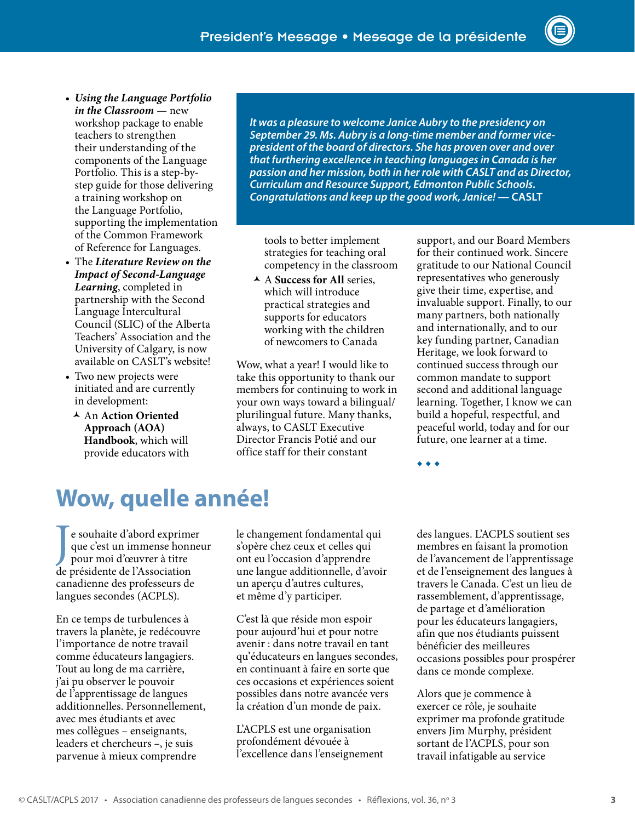- *Using the Language Portfolio in the Classroom* — new workshop package to enable teachers to strengthen their understanding of the components of the Language Portfolio. This is a step-bystep guide for those delivering a training workshop on the Language Portfolio, supporting the implementation of the Common Framework of Reference for Languages.
- The *Literature Review on the Impact of Second-Language Learning*, completed in partnership with the Second Language Intercultural Council (SLIC) of the Alberta Teachers' Association and the University of Calgary, is now available on CASLT's website!
- Two new projects were initiated and are currently in development:
	- An **Action Oriented Approach (AOA) Handbook**, which will provide educators with

*It was a pleasure to welcome Janice Aubry to the presidency on September 29. Ms. Aubry is a long-time member and former vicepresident of the board of directors. She has proven over and over that furthering excellence in teaching languages in Canada is her passion and her mission, both in her role with CASLT and as Director, Curriculum and Resource Support, Edmonton Public Schools. Congratulations and keep up the good work, Janice!* **— CASLT**

tools to better implement strategies for teaching oral competency in the classroom

 A **Success for All** series, which will introduce practical strategies and supports for educators working with the children of newcomers to Canada

Wow, what a year! I would like to take this opportunity to thank our members for continuing to work in your own ways toward a bilingual/ plurilingual future. Many thanks, always, to CASLT Executive Director Francis Potié and our office staff for their constant

support, and our Board Members for their continued work. Sincere gratitude to our National Council representatives who generously give their time, expertise, and invaluable support. Finally, to our many partners, both nationally and internationally, and to our key funding partner, Canadian Heritage, we look forward to continued success through our common mandate to support second and additional language learning. Together, I know we can build a hopeful, respectful, and peaceful world, today and for our future, one learner at a time.

◆ ◆ ◆

### **Wow, quelle année!**

J e souhaite d'abord exprimer que c'est un immense honneur pour moi d'œuvrer à titre de présidente de l'Association canadienne des professeurs de langues secondes (ACPLS).

En ce temps de turbulences à travers la planète, je redécouvre l'importance de notre travail comme éducateurs langagiers. Tout au long de ma carrière, j'ai pu observer le pouvoir de l'apprentissage de langues additionnelles. Personnellement, avec mes étudiants et avec mes collègues – enseignants, leaders et chercheurs –, je suis parvenue à mieux comprendre

le changement fondamental qui s'opère chez ceux et celles qui ont eu l'occasion d'apprendre une langue additionnelle, d'avoir un aperçu d'autres cultures, et même d'y participer.

C'est là que réside mon espoir pour aujourd'hui et pour notre avenir : dans notre travail en tant qu'éducateurs en langues secondes, en continuant à faire en sorte que ces occasions et expériences soient possibles dans notre avancée vers la création d'un monde de paix.

L'ACPLS est une organisation profondément dévouée à l'excellence dans l'enseignement des langues. L'ACPLS soutient ses membres en faisant la promotion de l'avancement de l'apprentissage et de l'enseignement des langues à travers le Canada. C'est un lieu de rassemblement, d'apprentissage, de partage et d'amélioration pour les éducateurs langagiers, afin que nos étudiants puissent bénéficier des meilleures occasions possibles pour prospérer dans ce monde complexe.

Alors que je commence à exercer ce rôle, je souhaite exprimer ma profonde gratitude envers Jim Murphy, président sortant de l'ACPLS, pour son travail infatigable au service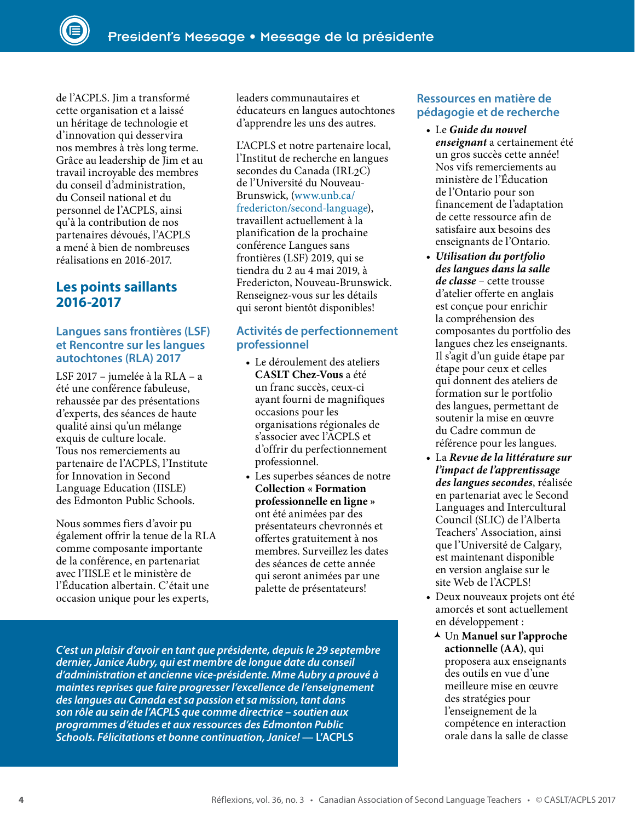de l'ACPLS. Jim a transformé cette organisation et a laissé un héritage de technologie et d'innovation qui desservira nos membres à très long terme. Grâce au leadership de Jim et au travail incroyable des membres du conseil d'administration, du Conseil national et du personnel de l'ACPLS, ainsi qu'à la contribution de nos partenaires dévoués, l'ACPLS a mené à bien de nombreuses réalisations en 2016-2017.

#### **Les points saillants 2016-2017**

#### **Langues sans frontières (LSF) et Rencontre sur les langues autochtones (RLA) 2017**

LSF 2017 – jumelée à la RLA – a été une conférence fabuleuse, rehaussée par des présentations d'experts, des séances de haute qualité ainsi qu'un mélange exquis de culture locale. Tous nos remerciements au partenaire de l'ACPLS, l'Institute for Innovation in Second Language Education (IISLE) des Edmonton Public Schools.

Nous sommes fiers d'avoir pu également offrir la tenue de la RLA comme composante importante de la conférence, en partenariat avec l'IISLE et le ministère de l'Éducation albertain. C'était une occasion unique pour les experts,

leaders communautaires et éducateurs en langues autochtones d'apprendre les uns des autres.

L'ACPLS et notre partenaire local, l'Institut de recherche en langues secondes du Canada (IRL<sub>2</sub>C) de l'Université du Nouveau-Brunswick, [\(www.unb.ca/](http://www.unb.ca/fredericton/second-language/) [fredericton/second-language](http://www.unb.ca/fredericton/second-language/)), travaillent actuellement à la planification de la prochaine conférence Langues sans frontières (LSF) 2019, qui se tiendra du 2 au 4 mai 2019, à Fredericton, Nouveau-Brunswick. Renseignez-vous sur les détails qui seront bientôt disponibles!

#### **Activités de perfectionnement professionnel**

- Le déroulement des ateliers **CASLT Chez-Vous** a été un franc succès, ceux-ci ayant fourni de magnifiques occasions pour les organisations régionales de s'associer avec l'ACPLS et d'offrir du perfectionnement professionnel.
- Les superbes séances de notre **Collection « Formation professionnelle en ligne »** ont été animées par des présentateurs chevronnés et offertes gratuitement à nos membres. Surveillez les dates des séances de cette année qui seront animées par une palette de présentateurs!

*C'est un plaisir d'avoir en tant que présidente, depuis le 29 septembre dernier, Janice Aubry, qui est membre de longue date du conseil d'administration et ancienne vice-présidente. Mme Aubry a prouvé à maintes reprises que faire progresser l'excellence de l'enseignement des langues au Canada est sa passion et sa mission, tant dans son rôle au sein de l'ACPLS que comme directrice – soutien aux programmes d'études et aux ressources des Edmonton Public Schools. Félicitations et bonne continuation, Janice!* **— L'ACPLS**

#### **Ressources en matière de pédagogie et de recherche**

- Le *Guide du nouvel enseignant* a certainement été un gros succès cette année! Nos vifs remerciements au ministère de l'Éducation de l'Ontario pour son financement de l'adaptation de cette ressource afin de satisfaire aux besoins des enseignants de l'Ontario.
- *Utilisation du portfolio des langues dans la salle de classe* – cette trousse d'atelier offerte en anglais est conçue pour enrichir la compréhension des composantes du portfolio des langues chez les enseignants. Il s'agit d'un guide étape par étape pour ceux et celles qui donnent des ateliers de formation sur le portfolio des langues, permettant de soutenir la mise en œuvre du Cadre commun de référence pour les langues.
- La *Revue de la littérature sur l'impact de l'apprentissage des langues secondes*, réalisée en partenariat avec le Second Languages and Intercultural Council (SLIC) de l'Alberta Teachers' Association, ainsi que l'Université de Calgary, est maintenant disponible en version anglaise sur le site Web de l'ACPLS!
- Deux nouveaux projets ont été amorcés et sont actuellement en développement :
	- Un **Manuel sur l'approche actionnelle (AA)**, qui proposera aux enseignants des outils en vue d'une meilleure mise en œuvre des stratégies pour l'enseignement de la compétence en interaction orale dans la salle de classe